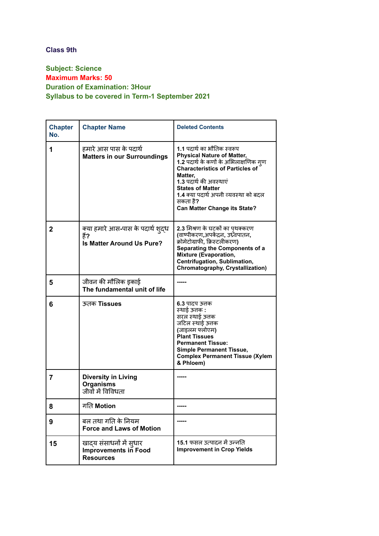## **Class 9th**

## **Subject: Science Maximum Marks: 50 Duration of Examination: 3Hour Syllabus to be covered in Term-1 September 2021**

| <b>Chapter</b><br>No. | <b>Chapter Name</b>                                                   | <b>Deleted Contents</b>                                                                                                                                                                                                                                                                                       |
|-----------------------|-----------------------------------------------------------------------|---------------------------------------------------------------------------------------------------------------------------------------------------------------------------------------------------------------------------------------------------------------------------------------------------------------|
| 1                     | हमारे आस पास के पदार्थ<br><b>Matters in our Surroundings</b>          | 1.1 पदार्थ का भौतिक स्वरूप<br><b>Physical Nature of Matter,</b><br>1.2 पदार्थ के कणों के अभिलाक्षणिक गूण<br><b>Characteristics of Particles of</b><br>Matter.<br>1.3 पदार्थ की अवस्थाएं<br><b>States of Matter</b><br>1.4 क्या पदार्थ अपनी व्यवस्था को बदल<br>सकता है?<br><b>Can Matter Change its State?</b> |
| $\mathbf{2}$          | क्या हमारे आस-पास के पदार्थ शुद्ध<br>គី?<br>Is Matter Around Us Pure? | 2.3 मिश्रण के घटकों का पृथक्करण<br>(वाष्पीकरण,अपकेंद्रन, उध्र्वपातन,<br>क्रोमेटोग्राफी, क्रिस्टलीकरण)<br>Separating the Components of a<br><b>Mixture (Evaporation,</b><br>Centrifugation, Sublimation,<br>Chromatography, Crystallization)                                                                   |
| 5                     | जीवन की मौलिक इकाई<br>The fundamental unit of life                    |                                                                                                                                                                                                                                                                                                               |
| 6                     | ऊतक Tissues                                                           | 6.3 पादप ऊत्तक<br>स्थाई ऊतक :<br>सरल स्थाई ऊतक<br>जटिल स्थाई ऊतक<br>(जाइलम फ्लोएम)<br><b>Plant Tissues</b><br><b>Permanent Tissue:</b><br><b>Simple Permanent Tissue,</b><br><b>Complex Permanent Tissue (Xylem</b><br>& Phloem)                                                                              |
| 7                     | <b>Diversity in Living</b><br><b>Organisms</b><br>जीवों में विविधता   |                                                                                                                                                                                                                                                                                                               |
| 8                     | गति Motion                                                            |                                                                                                                                                                                                                                                                                                               |
| 9                     | बल तथा गति के नियम<br><b>Force and Laws of Motion</b>                 |                                                                                                                                                                                                                                                                                                               |
| 15                    | खादय संसाधनों में सुधार<br>Improvements in Food<br><b>Resources</b>   | 15.1 फसल उत्पादन में उन्नति<br><b>Improvement in Crop Yields</b>                                                                                                                                                                                                                                              |